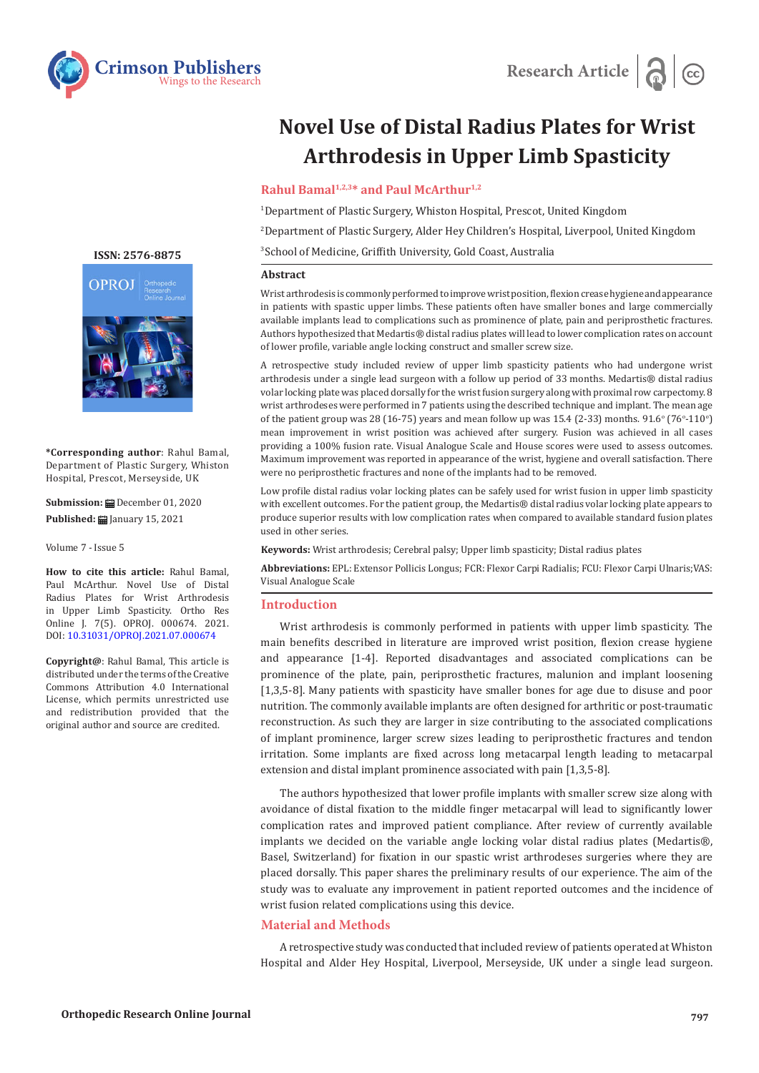

# **Novel Use of Distal Radius Plates for Wrist Arthrodesis in Upper Limb Spasticity**

## **Rahul Bamal1,2,3\* and Paul McArthur1,2**

1 Department of Plastic Surgery, Whiston Hospital, Prescot, United Kingdom

2 Department of Plastic Surgery, Alder Hey Children's Hospital, Liverpool, United Kingdom

3 School of Medicine, Griffith University, Gold Coast, Australia

#### **Abstract**

Wrist arthrodesis is commonly performed to improve wrist position, flexion crease hygiene and appearance in patients with spastic upper limbs. These patients often have smaller bones and large commercially available implants lead to complications such as prominence of plate, pain and periprosthetic fractures. Authors hypothesized that Medartis® distal radius plates will lead to lower complication rates on account of lower profile, variable angle locking construct and smaller screw size.

A retrospective study included review of upper limb spasticity patients who had undergone wrist arthrodesis under a single lead surgeon with a follow up period of 33 months. Medartis® distal radius volar locking plate was placed dorsally for the wrist fusion surgery along with proximal row carpectomy. 8 wrist arthrodeses were performed in 7 patients using the described technique and implant. The mean age of the patient group was 28 (16-75) years and mean follow up was 15.4 (2-33) months.  $91.6^{\circ}$  (76<sup>o</sup>-110<sup>o</sup>) mean improvement in wrist position was achieved after surgery. Fusion was achieved in all cases providing a 100% fusion rate. Visual Analogue Scale and House scores were used to assess outcomes. Maximum improvement was reported in appearance of the wrist, hygiene and overall satisfaction. There were no periprosthetic fractures and none of the implants had to be removed.

Low profile distal radius volar locking plates can be safely used for wrist fusion in upper limb spasticity with excellent outcomes. For the patient group, the Medartis<sup>®</sup> distal radius volar locking plate appears to produce superior results with low complication rates when compared to available standard fusion plates used in other series.

**Keywords:** Wrist arthrodesis; Cerebral palsy; Upper limb spasticity; Distal radius plates

**Abbreviations:** EPL: Extensor Pollicis Longus; FCR: Flexor Carpi Radialis; FCU: Flexor Carpi Ulnaris;VAS: Visual Analogue Scale

#### **Introduction**

Wrist arthrodesis is commonly performed in patients with upper limb spasticity. The main benefits described in literature are improved wrist position, flexion crease hygiene and appearance [1-4]. Reported disadvantages and associated complications can be prominence of the plate, pain, periprosthetic fractures, malunion and implant loosening [1,3,5-8]. Many patients with spasticity have smaller bones for age due to disuse and poor nutrition. The commonly available implants are often designed for arthritic or post-traumatic reconstruction. As such they are larger in size contributing to the associated complications of implant prominence, larger screw sizes leading to periprosthetic fractures and tendon irritation. Some implants are fixed across long metacarpal length leading to metacarpal extension and distal implant prominence associated with pain [1,3,5-8].

The authors hypothesized that lower profile implants with smaller screw size along with avoidance of distal fixation to the middle finger metacarpal will lead to significantly lower complication rates and improved patient compliance. After review of currently available implants we decided on the variable angle locking volar distal radius plates (Medartis®, Basel, Switzerland) for fixation in our spastic wrist arthrodeses surgeries where they are placed dorsally. This paper shares the preliminary results of our experience. The aim of the study was to evaluate any improvement in patient reported outcomes and the incidence of wrist fusion related complications using this device.

## **Material and Methods**

A retrospective study was conducted that included review of patients operated at Whiston Hospital and Alder Hey Hospital, Liverpool, Merseyside, UK under a single lead surgeon.

**[ISSN: 2576-8875](https://www.crimsonpublishers.com/oproj/)**



**\*Corresponding author**: Rahul Bamal, Department of Plastic Surgery, Whiston Hospital, Prescot, Merseyside, UK

**Submission:** December 01, 2020 **Published:** January 15, 2021

Volume 7 - Issue 5

**How to cite this article:** Rahul Bamal, Paul McArthur. Novel Use of Distal Radius Plates for Wrist Arthrodesis in Upper Limb Spasticity. Ortho Res Online J. 7(5). OPROJ. 000674. 2021. DOI: [10.31031/OPROJ.2021.07.0006](http://dx.doi.org/10.31031/OPROJ.2021.07.000674)74

**Copyright@**: Rahul Bamal, This article is distributed under the terms of the Creative Commons Attribution 4.0 International License, which permits unrestricted use and redistribution provided that the original author and source are credited.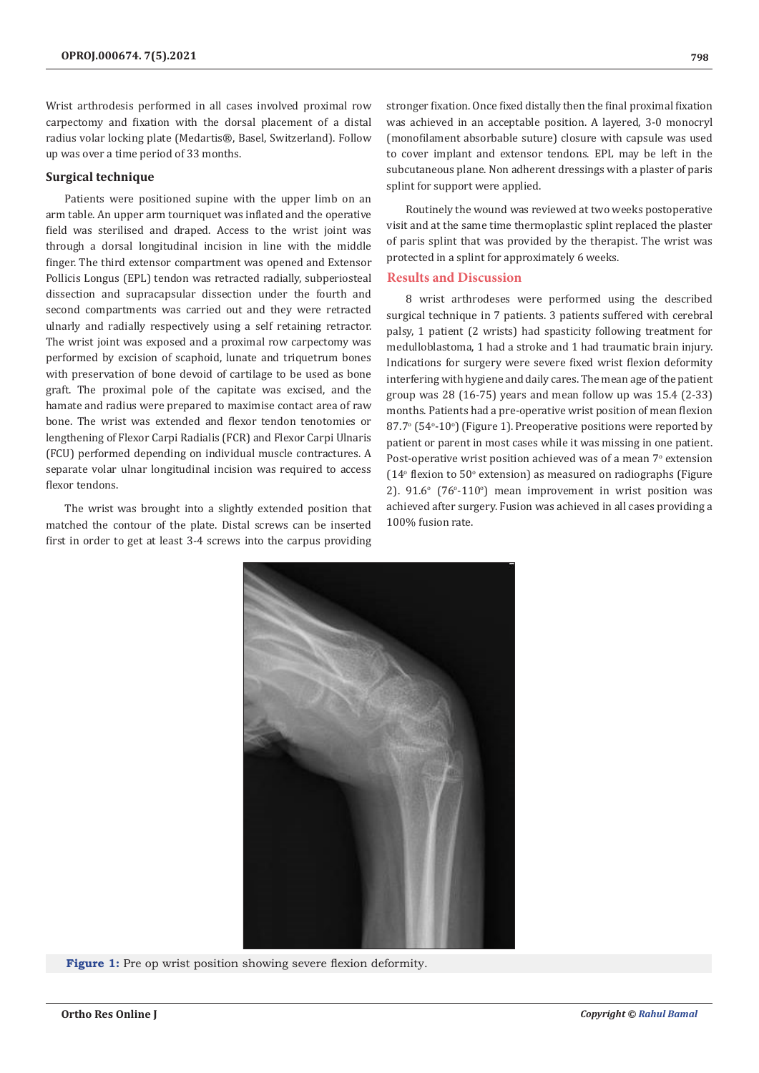Wrist arthrodesis performed in all cases involved proximal row carpectomy and fixation with the dorsal placement of a distal radius volar locking plate (Medartis®, Basel, Switzerland). Follow up was over a time period of 33 months.

#### **Surgical technique**

Patients were positioned supine with the upper limb on an arm table. An upper arm tourniquet was inflated and the operative field was sterilised and draped. Access to the wrist joint was through a dorsal longitudinal incision in line with the middle finger. The third extensor compartment was opened and Extensor Pollicis Longus (EPL) tendon was retracted radially, subperiosteal dissection and supracapsular dissection under the fourth and second compartments was carried out and they were retracted ulnarly and radially respectively using a self retaining retractor. The wrist joint was exposed and a proximal row carpectomy was performed by excision of scaphoid, lunate and triquetrum bones with preservation of bone devoid of cartilage to be used as bone graft. The proximal pole of the capitate was excised, and the hamate and radius were prepared to maximise contact area of raw bone. The wrist was extended and flexor tendon tenotomies or lengthening of Flexor Carpi Radialis (FCR) and Flexor Carpi Ulnaris (FCU) performed depending on individual muscle contractures. A separate volar ulnar longitudinal incision was required to access flexor tendons.

The wrist was brought into a slightly extended position that matched the contour of the plate. Distal screws can be inserted first in order to get at least 3-4 screws into the carpus providing

stronger fixation. Once fixed distally then the final proximal fixation was achieved in an acceptable position. A layered, 3-0 monocryl (monofilament absorbable suture) closure with capsule was used to cover implant and extensor tendons. EPL may be left in the subcutaneous plane. Non adherent dressings with a plaster of paris splint for support were applied.

Routinely the wound was reviewed at two weeks postoperative visit and at the same time thermoplastic splint replaced the plaster of paris splint that was provided by the therapist. The wrist was protected in a splint for approximately 6 weeks.

### **Results and Discussion**

8 wrist arthrodeses were performed using the described surgical technique in 7 patients. 3 patients suffered with cerebral palsy, 1 patient (2 wrists) had spasticity following treatment for medulloblastoma, 1 had a stroke and 1 had traumatic brain injury. Indications for surgery were severe fixed wrist flexion deformity interfering with hygiene and daily cares. The mean age of the patient group was 28 (16-75) years and mean follow up was 15.4 (2-33) months. Patients had a pre-operative wrist position of mean flexion 87.7° (54°-10°) (Figure 1). Preoperative positions were reported by patient or parent in most cases while it was missing in one patient. Post-operative wrist position achieved was of a mean 7° extension  $(14^{\circ}$  flexion to 50 $^{\circ}$  extension) as measured on radiographs (Figure  $2$ ). 91.6 $\textdegree$  (76 $\textdegree$ -110 $\textdegree$ ) mean improvement in wrist position was achieved after surgery. Fusion was achieved in all cases providing a 100% fusion rate.



**Figure 1:** Pre op wrist position showing severe flexion deformity.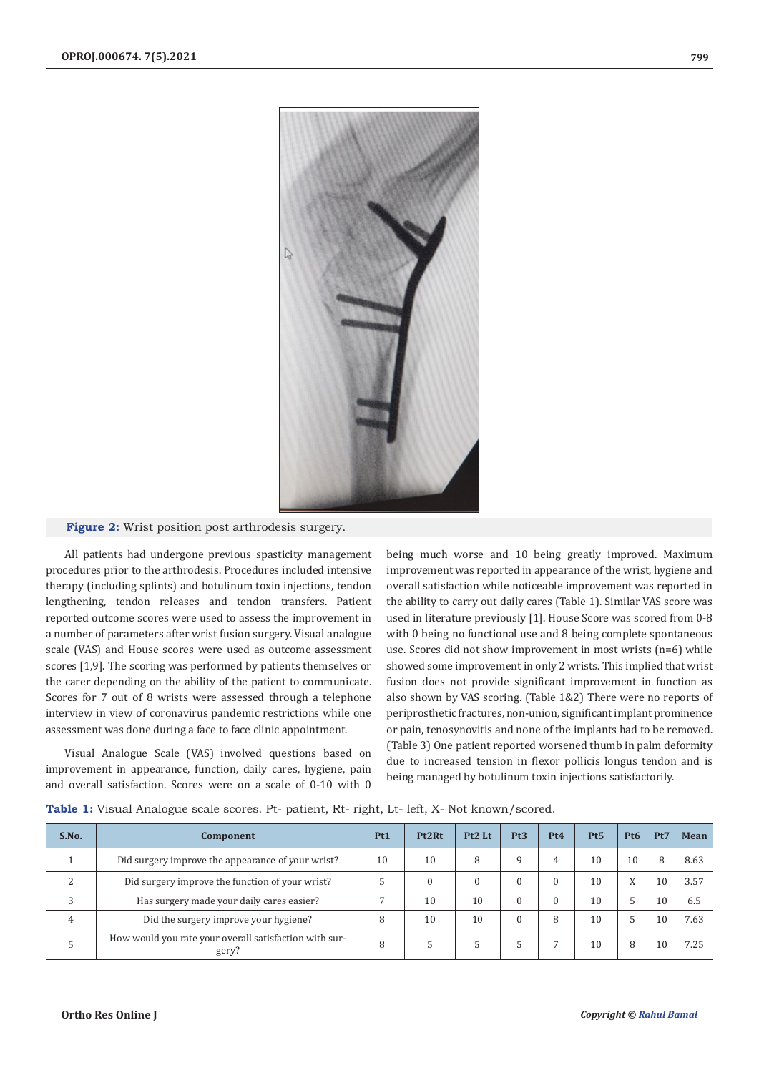

### **Figure 2:** Wrist position post arthrodesis surgery.

All patients had undergone previous spasticity management procedures prior to the arthrodesis. Procedures included intensive therapy (including splints) and botulinum toxin injections, tendon lengthening, tendon releases and tendon transfers. Patient reported outcome scores were used to assess the improvement in a number of parameters after wrist fusion surgery. Visual analogue scale (VAS) and House scores were used as outcome assessment scores [1,9]. The scoring was performed by patients themselves or the carer depending on the ability of the patient to communicate. Scores for 7 out of 8 wrists were assessed through a telephone interview in view of coronavirus pandemic restrictions while one assessment was done during a face to face clinic appointment.

Visual Analogue Scale (VAS) involved questions based on improvement in appearance, function, daily cares, hygiene, pain and overall satisfaction. Scores were on a scale of 0-10 with 0 being much worse and 10 being greatly improved. Maximum improvement was reported in appearance of the wrist, hygiene and overall satisfaction while noticeable improvement was reported in the ability to carry out daily cares (Table 1). Similar VAS score was used in literature previously [1]. House Score was scored from 0-8 with 0 being no functional use and 8 being complete spontaneous use. Scores did not show improvement in most wrists (n=6) while showed some improvement in only 2 wrists. This implied that wrist fusion does not provide significant improvement in function as also shown by VAS scoring. (Table 1&2) There were no reports of periprosthetic fractures, non-union, significant implant prominence or pain, tenosynovitis and none of the implants had to be removed. (Table 3) One patient reported worsened thumb in palm deformity due to increased tension in flexor pollicis longus tendon and is being managed by botulinum toxin injections satisfactorily.

|  | <b>Table 1:</b> Visual Analogue scale scores. Pt- patient, Rt- right, Lt- left, X- Not known/scored. |  |  |  |  |
|--|------------------------------------------------------------------------------------------------------|--|--|--|--|
|--|------------------------------------------------------------------------------------------------------|--|--|--|--|

| S.No.         | Component                                                       | Pt1 | Pt2Rt | Pt2 Lt | Pt3 | Pt <sub>4</sub> | Pt5 | Pt <sub>6</sub> | Pt7 | Mean |
|---------------|-----------------------------------------------------------------|-----|-------|--------|-----|-----------------|-----|-----------------|-----|------|
|               | Did surgery improve the appearance of your wrist?               | 10  | 10    | 8      |     | 4               | 10  | 10              | 8   | 8.63 |
| $\mathcal{D}$ | Did surgery improve the function of your wrist?                 |     |       | 0      |     | $\Omega$        | 10  | X               | 10  | 3.57 |
|               | Has surgery made your daily cares easier?                       |     | 10    | 10     |     | $\Omega$        | 10  |                 | 10  | 6.5  |
| 4             | Did the surgery improve your hygiene?                           | 8   | 10    | 10     |     | 8               | 10  |                 | 10  | 7.63 |
|               | How would you rate your overall satisfaction with sur-<br>gery? | 8   |       | .5     |     |                 | 10  | 8               | 10  | 7.25 |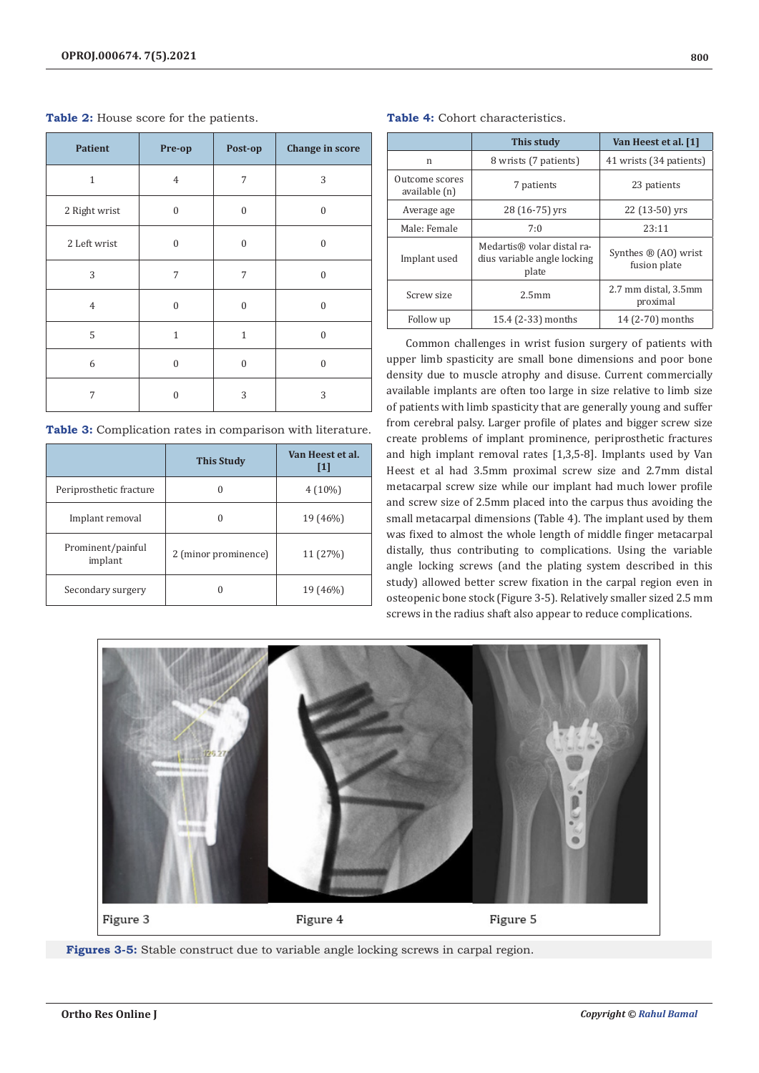| <b>Patient</b> | Pre-op         | Post-op          | <b>Change in score</b> |
|----------------|----------------|------------------|------------------------|
| $\mathbf{1}$   | $\overline{4}$ | 7                | 3                      |
| 2 Right wrist  | $\Omega$       | $\Omega$         | $\mathbf{0}$           |
| 2 Left wrist   | $\mathbf{0}$   | $\mathbf{0}$     | $\mathbf{0}$           |
| 3              | 7              | 7                | $\mathbf{0}$           |
| $\overline{4}$ | $\mathbf{0}$   | $\boldsymbol{0}$ | $\mathbf{0}$           |
| 5              | $\mathbf{1}$   | $\mathbf{1}$     | $\mathbf{0}$           |
| 6              | $\mathbf{0}$   | $\mathbf{0}$     | $\mathbf{0}$           |
| 7              | $\Omega$       | 3                | 3                      |

**Table 2:** House score for the patients.

| Table 3: Complication rates in comparison with literature. |  |  |  |  |
|------------------------------------------------------------|--|--|--|--|
|------------------------------------------------------------|--|--|--|--|

|                              | <b>This Study</b>    | Van Heest et al.<br>$\mathbf{I}$ |
|------------------------------|----------------------|----------------------------------|
| Periprosthetic fracture      | 0                    | $4(10\%)$                        |
| Implant removal              |                      | 19 (46%)                         |
| Prominent/painful<br>implant | 2 (minor prominence) | 11 (27%)                         |
| Secondary surgery            |                      | 19 (46%)                         |

**Table 4:** Cohort characteristics.

|                                 | This study                                                         | Van Heest et al. [1]                            |  |
|---------------------------------|--------------------------------------------------------------------|-------------------------------------------------|--|
| n                               | 8 wrists (7 patients)                                              | 41 wrists (34 patients)                         |  |
| Outcome scores<br>available (n) | 7 patients                                                         | 23 patients                                     |  |
| Average age                     | 28 (16-75) yrs                                                     | 22 (13-50) yrs                                  |  |
| Male: Female                    | 7:0                                                                | 23:11                                           |  |
| Implant used                    | Medartis® volar distal ra-<br>dius variable angle locking<br>plate | Synthes $\mathbb{B}$ (AO) wrist<br>fusion plate |  |
| Screw size                      | 2.5 <sub>mm</sub>                                                  | 2.7 mm distal, 3.5mm<br>proximal                |  |
| Follow up                       | 15.4 (2-33) months                                                 | 14 (2-70) months                                |  |

Common challenges in wrist fusion surgery of patients with upper limb spasticity are small bone dimensions and poor bone density due to muscle atrophy and disuse. Current commercially available implants are often too large in size relative to limb size of patients with limb spasticity that are generally young and suffer from cerebral palsy. Larger profile of plates and bigger screw size create problems of implant prominence, periprosthetic fractures and high implant removal rates [1,3,5-8]. Implants used by Van Heest et al had 3.5mm proximal screw size and 2.7mm distal metacarpal screw size while our implant had much lower profile and screw size of 2.5mm placed into the carpus thus avoiding the small metacarpal dimensions (Table 4). The implant used by them was fixed to almost the whole length of middle finger metacarpal distally, thus contributing to complications. Using the variable angle locking screws (and the plating system described in this study) allowed better screw fixation in the carpal region even in osteopenic bone stock (Figure 3-5). Relatively smaller sized 2.5 mm screws in the radius shaft also appear to reduce complications.



**Figures 3-5:** Stable construct due to variable angle locking screws in carpal region.